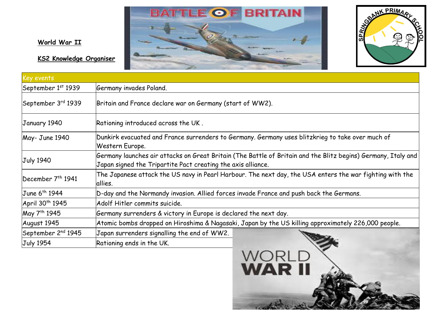



## **World War II**

**KS2 Knowledge Organiser**

| Key events                     |                                                                                                                                                                               |
|--------------------------------|-------------------------------------------------------------------------------------------------------------------------------------------------------------------------------|
| September 1st 1939             | Germany invades Poland.                                                                                                                                                       |
| September 3rd 1939             | Britain and France declare war on Germany (start of WW2).                                                                                                                     |
| January 1940                   | Rationing introduced across the UK.                                                                                                                                           |
| May-June 1940                  | Dunkirk evacuated and France surrenders to Germany. Germany uses blitzkrieg to take over much of<br>Western Europe.                                                           |
| <b>July 1940</b>               | Germany launches air attacks on Great Britain (The Battle of Britain and the Blitz begins) Germany, Italy and<br>Japan signed the Tripartite Pact creating the axis alliance. |
| December 7 <sup>th</sup> 1941  | The Japanese attack the US navy in Pearl Harbour. The next day, the USA enters the war fighting with the<br>allies.                                                           |
| June 6 <sup>th</sup> 1944      | D-day and the Normandy invasion. Allied forces invade France and push back the Germans.                                                                                       |
| April 30 <sup>th</sup> 1945    | Adolf Hitler commits suicide.                                                                                                                                                 |
| May 7 <sup>th</sup> 1945       | Germany surrenders & victory in Europe is declared the next day.                                                                                                              |
| August 1945                    | Atomic bombs dropped on Hiroshima & Nagasaki, Japan by the US killing approximately 226,000 people.                                                                           |
| September 2 <sup>nd</sup> 1945 | Japan surrenders signalling the end of WW2.                                                                                                                                   |
| <b>July 1954</b>               | Rationing ends in the UK.                                                                                                                                                     |